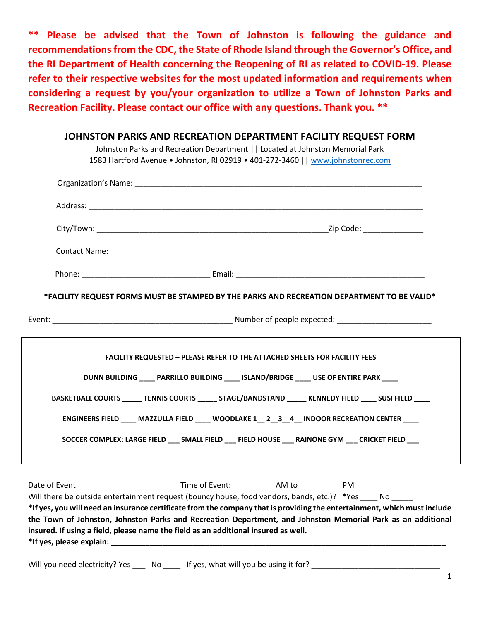**\*\* Please be advised that the Town of Johnston is following the guidance and recommendations from the CDC, the State of Rhode Island through the Governor's Office, and the RI Department of Health concerning the Reopening of RI as related to COVID-19. Please refer to their respective websites for the most updated information and requirements when considering a request by you/your organization to utilize a Town of Johnston Parks and Recreation Facility. Please contact our office with any questions. Thank you. \*\***

### **JOHNSTON PARKS AND RECREATION DEPARTMENT FACILITY REQUEST FORM**

Johnston Parks and Recreation Department || Located at Johnston Memorial Park 1583 Hartford Avenue • Johnston, RI 02919 • 401-272-3460 |[| www.johnstonrec.com](http://www.johnstonrec.com/)

|                          | *FACILITY REQUEST FORMS MUST BE STAMPED BY THE PARKS AND RECREATION DEPARTMENT TO BE VALID*                                                                                                                                             |  |
|--------------------------|-----------------------------------------------------------------------------------------------------------------------------------------------------------------------------------------------------------------------------------------|--|
|                          |                                                                                                                                                                                                                                         |  |
|                          | <b>FACILITY REQUESTED - PLEASE REFER TO THE ATTACHED SHEETS FOR FACILITY FEES</b>                                                                                                                                                       |  |
|                          | DUNN BUILDING ____ PARRILLO BUILDING ____ ISLAND/BRIDGE ____ USE OF ENTIRE PARK ___                                                                                                                                                     |  |
|                          | BASKETBALL COURTS ______ TENNIS COURTS ______ STAGE/BANDSTAND ______ KENNEDY FIELD _____ SUSI FIELD _____                                                                                                                               |  |
|                          | ENGINEERS FIELD ____ MAZZULLA FIELD ____ WOODLAKE 1 __ 2 __ 3 __ 4 __ INDOOR RECREATION CENTER ____                                                                                                                                     |  |
|                          | SOCCER COMPLEX: LARGE FIELD ___ SMALL FIELD ___ FIELD HOUSE ___ RAINONE GYM ___ CRICKET FIELD ___                                                                                                                                       |  |
|                          | Date of Event: Notice and Time of Event: AM to Note 2014                                                                                                                                                                                |  |
|                          | Will there be outside entertainment request (bouncy house, food vendors, bands, etc.)? *Yes _____ No                                                                                                                                    |  |
|                          | *If yes, you will need an insurance certificate from the company that is providing the entertainment, which must include<br>the Town of Johnston, Johnston Parks and Recreation Department, and Johnston Memorial Park as an additional |  |
|                          | insured. If using a field, please name the field as an additional insured as well.                                                                                                                                                      |  |
| *If yes, please explain: |                                                                                                                                                                                                                                         |  |

Will you need electricity? Yes \_\_\_ No \_\_\_\_ If yes, what will you be using it for? \_\_\_\_\_\_\_\_\_\_\_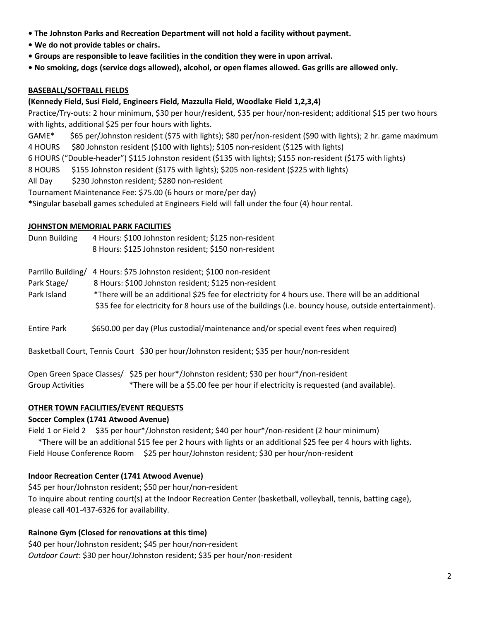- **The Johnston Parks and Recreation Department will not hold a facility without payment.**
- **We do not provide tables or chairs.**
- **Groups are responsible to leave facilities in the condition they were in upon arrival.**
- **No smoking, dogs (service dogs allowed), alcohol, or open flames allowed. Gas grills are allowed only.**

#### **BASEBALL/SOFTBALL FIELDS**

#### **(Kennedy Field, Susi Field, Engineers Field, Mazzulla Field, Woodlake Field 1,2,3,4)**

Practice/Try-outs: 2 hour minimum, \$30 per hour/resident, \$35 per hour/non-resident; additional \$15 per two hours with lights, additional \$25 per four hours with lights.

GAME\* \$65 per/Johnston resident (\$75 with lights); \$80 per/non-resident (\$90 with lights); 2 hr. game maximum 4 HOURS \$80 Johnston resident (\$100 with lights); \$105 non-resident (\$125 with lights)

6 HOURS ("Double-header") \$115 Johnston resident (\$135 with lights); \$155 non-resident (\$175 with lights)

- 8 HOURS \$155 Johnston resident (\$175 with lights); \$205 non-resident (\$225 with lights)
- All Day \$230 Johnston resident; \$280 non-resident

Tournament Maintenance Fee: \$75.00 (6 hours or more/per day)

**\***Singular baseball games scheduled at Engineers Field will fall under the four (4) hour rental.

#### **JOHNSTON MEMORIAL PARK FACILITIES**

Dunn Building 4 Hours: \$100 Johnston resident; \$125 non-resident 8 Hours: \$125 Johnston resident; \$150 non-resident

Parrillo Building/ 4 Hours: \$75 Johnston resident; \$100 non-resident

- Park Stage/ 8 Hours: \$100 Johnston resident; \$125 non-resident
- Park Island \*There will be an additional \$25 fee for electricity for 4 hours use. There will be an additional \$35 fee for electricity for 8 hours use of the buildings (i.e. bouncy house, outside entertainment).
- Entire Park \$650.00 per day (Plus custodial/maintenance and/or special event fees when required)

Basketball Court, Tennis Court \$30 per hour/Johnston resident; \$35 per hour/non-resident

Open Green Space Classes/ \$25 per hour\*/Johnston resident; \$30 per hour\*/non-resident Group Activities \*There will be a \$5.00 fee per hour if electricity is requested (and available).

#### **OTHER TOWN FACILITIES/EVENT REQUESTS**

#### **Soccer Complex (1741 Atwood Avenue)**

Field 1 or Field 2 \$35 per hour\*/Johnston resident; \$40 per hour\*/non-resident (2 hour minimum)

 \*There will be an additional \$15 fee per 2 hours with lights or an additional \$25 fee per 4 hours with lights. Field House Conference Room \$25 per hour/Johnston resident; \$30 per hour/non-resident

#### **Indoor Recreation Center (1741 Atwood Avenue)**

\$45 per hour/Johnston resident; \$50 per hour/non-resident To inquire about renting court(s) at the Indoor Recreation Center (basketball, volleyball, tennis, batting cage), please call 401-437-6326 for availability.

### **Rainone Gym (Closed for renovations at this time)**

\$40 per hour/Johnston resident; \$45 per hour/non-resident *Outdoor Court*: \$30 per hour/Johnston resident; \$35 per hour/non-resident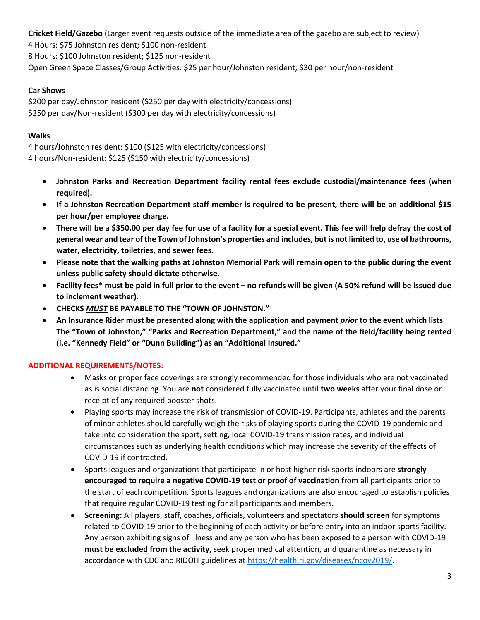**Cricket Field/Gazebo** (Larger event requests outside of the immediate area of the gazebo are subject to review) 4 Hours: \$75 Johnston resident; \$100 non-resident 8 Hours: \$100 Johnston resident; \$125 non-resident Open Green Space Classes/Group Activities: \$25 per hour/Johnston resident; \$30 per hour/non-resident

# **Car Shows**

\$200 per day/Johnston resident (\$250 per day with electricity/concessions) \$250 per day/Non-resident (\$300 per day with electricity/concessions)

# **Walks**

4 hours/Johnston resident: \$100 (\$125 with electricity/concessions) 4 hours/Non-resident: \$125 (\$150 with electricity/concessions)

- **Johnston Parks and Recreation Department facility rental fees exclude custodial/maintenance fees (when required).**
- **If a Johnston Recreation Department staff member is required to be present, there will be an additional \$15 per hour/per employee charge.**
- **There will be a \$350.00 per day fee for use of a facility for a special event. This fee will help defray the cost of general wear and tear of the Town of Johnston's properties and includes, but is not limited to, use of bathrooms, water, electricity, toiletries, and sewer fees.**
- **Please note that the walking paths at Johnston Memorial Park will remain open to the public during the event unless public safety should dictate otherwise.**
- **Facility fees\* must be paid in full prior to the event – no refunds will be given (A 50% refund will be issued due to inclement weather).**
- **CHECKS** *MUST* **BE PAYABLE TO THE "TOWN OF JOHNSTON."**
- **An Insurance Rider must be presented along with the application and payment** *prior* **to the event which lists The "Town of Johnston," "Parks and Recreation Department," and the name of the field/facility being rented (i.e. "Kennedy Field" or "Dunn Building") as an "Additional Insured."**

# **ADDITIONAL REQUIREMENTS/NOTES:**

- Masks or proper face coverings are strongly recommended for those individuals who are not vaccinated as is social distancing. You are **not** considered fully vaccinated until **two weeks** after your final dose or receipt of any required booster shots.
- Playing sports may increase the risk of transmission of COVID-19. Participants, athletes and the parents of minor athletes should carefully weigh the risks of playing sports during the COVID-19 pandemic and take into consideration the sport, setting, local COVID-19 transmission rates, and individual circumstances such as underlying health conditions which may increase the severity of the effects of COVID-19 if contracted.
- Sports leagues and organizations that participate in or host higher risk sports indoors are **strongly encouraged to require a negative COVID-19 test or proof of vaccination** from all participants prior to the start of each competition. Sports leagues and organizations are also encouraged to establish policies that require regular COVID-19 testing for all participants and members.
- **Screening:** All players, staff, coaches, officials, volunteers and spectators **should screen** for symptoms related to COVID-19 prior to the beginning of each activity or before entry into an indoor sports facility. Any person exhibiting signs of illness and any person who has been exposed to a person with COVID-19 **must be excluded from the activity,** seek proper medical attention, and quarantine as necessary in accordance with CDC and RIDOH guidelines a[t https://health.ri.gov/diseases/ncov2019/.](https://health.ri.gov/diseases/ncov2019/)